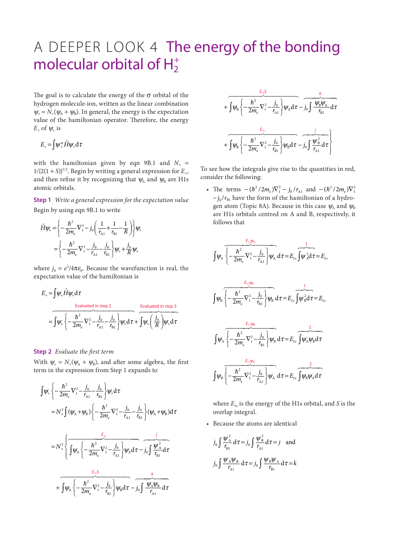## A DEEPER LOOK 4 The energy of the bonding molecular orbital of  $H_2^+$

The goal is to calculate the energy of the  $\sigma$  orbital of the hydrogen molecule-ion, written as the linear combination  $\Psi_+ = N_+(\Psi_A + \Psi_B)$ . In general, the energy is the expectation value of the hamiltonian operator. Therefore, the energy  $E_{+}$  of  $\psi_{+}$  is

$$
E_{+} = \int \psi_{+}^{*} \hat{H} \psi_{+} \mathrm{d} \tau
$$

with the hamiltonian given by eqn 9B.1 and  $N_{+}$  =  $1/[2(1 + S)]^{1/2}$ . Begin by writing a general expression for  $E_{+}$ , and then refine it by recognizing that  $\psi_A$  and  $\psi_B$  are H1s atomic orbitals.

**Step 1** *Write a general expression for the expectation value* Begin by using eqn 9B.1 to write

$$
\hat{H}\psi_{+} = \left\{ -\frac{\hbar^2}{2m_e} \nabla_1^2 - j_0 \left( \frac{1}{r_{A1}} + \frac{1}{r_{B1}} - \frac{1}{R} \right) \right\} \psi_{+}
$$
\n
$$
= \left\{ -\frac{\hbar^2}{2m_e} \nabla_1^2 - \frac{j_0}{r_{A1}} - \frac{j_0}{r_{B1}} \right\} \psi_{+} + \frac{j_0}{R} \psi_{+}
$$

where  $j_0 = e^2/4\pi\varepsilon_0$ . Because the wavefunction is real, the expectation value of the hamiltonian is

$$
E_{+} = \int \psi_{+} \hat{H} \psi_{+} d\tau
$$
  
Evaluate  $\sin \theta$  in step 2 Evaluate  $\sin \theta$  in step 3  

$$
= \int \psi_{+} \left\{ -\frac{\hbar^{2}}{2m_{e}} \nabla_{1}^{2} - \frac{j_{0}}{r_{A1}} - \frac{j_{0}}{r_{B1}} \right\} \psi_{+} d\tau + \int \psi_{+} \left( \frac{j_{0}}{R} \right) \psi_{+} d\tau
$$

## **Step 2** *Evaluate the first term*

With  $\psi_+ = N_+(\psi_A + \psi_B)$ , and after some algebra, the first term in the expression from Step 1 expands to

$$
\int \psi_{+} \left\{ -\frac{\hbar^{2}}{2m_{e}} \nabla_{1}^{2} - \frac{j_{0}}{r_{A1}} - \frac{j_{0}}{r_{B1}} \right\} \psi_{+} d\tau
$$
\n
$$
= N_{+}^{2} \int (\psi_{A} + \psi_{B}) \left\{ -\frac{\hbar^{2}}{2m_{e}} \nabla_{1}^{2} - \frac{j_{0}}{r_{A1}} - \frac{j_{0}}{r_{B1}} \right\} (\psi_{A} + \psi_{B}) d\tau
$$
\n
$$
= N_{+}^{2} \left\{ \int \psi_{A} \left\{ -\frac{\hbar^{2}}{2m_{e}} \nabla_{1}^{2} - \frac{j_{0}}{r_{A1}} \right\} \psi_{A} d\tau - j_{0} \int \frac{\psi_{A}^{2}}{r_{B1}} d\tau + \int \psi_{A} \left\{ -\frac{\hbar^{2}}{2m_{e}} \nabla_{1}^{2} - \frac{j_{0}}{r_{B1}} \right\} \psi_{B} d\tau - j_{0} \int \frac{\psi_{A} \psi_{B}}{r_{A1}} d\tau \right\}
$$

$$
+\int \psi_{B}\left\{-\frac{\hbar^{2}}{2m_{e}}\nabla_{1}^{2}-\frac{j_{0}}{r_{A1}}\right\}\psi_{A}d\tau-\frac{k}{j_{0}\int \frac{\psi_{B}\psi_{A}}{r_{B1}}d\tau}\n+\int \psi_{B}\left\{-\frac{\hbar^{2}}{2m_{e}}\nabla_{1}^{2}-\frac{j_{0}}{r_{B1}}\right\}\psi_{B}d\tau-\frac{j_{0}}{j_{A1}}\frac{\psi_{B}^{2}}{r_{A1}}d\tau\right\}
$$

To see how the integrals give rise to the quantities in red, consider the following:

• The terms  $-(\hbar^2/2m_e)\nabla_1^2 - j_0/r_{A1}$  and  $-(\hbar^2/2m_e)\nabla_1^2$  $-j_0/r_{\text{BI}}$  have the form of the hamiltonian of a hydrogen atom (Topic 8A). Because in this case  $\psi$ <sub>A</sub> and  $\psi$ <sub>B</sub> are H1s orbitals centred on A and B, respectively, it follows that

$$
\int \psi_A \sqrt{\left(-\frac{\hbar^2}{2m_e} \nabla_1^2 - \frac{j_0}{r_{A1}}\right)} \psi_A d\tau = E_{1s} \int \psi_A^2 d\tau = E_{1s}
$$

$$
\int \psi_{B} \overbrace{\left\{-\frac{\hbar^{2}}{2m_{e}}\nabla_{1}^{2} - \frac{j_{0}}{r_{B1}}\right\}}^{E_{15}\psi_{B}} \psi_{B} d\tau = E_{1s} \overbrace{\int \psi_{B}^{2} d\tau}^{1} = E_{1s}
$$

$$
\int \psi_A \sqrt{\left\{-\frac{\hbar^2}{2m_e} \nabla_1^2 - \frac{j_0}{r_{B1}}\right\}\psi_B} \, d\tau = E_{1s} \int \psi_A \psi_B d\tau
$$

$$
\int \psi_{\rm B} \overline{\left\{-\frac{\hbar^2}{2m_{\rm e}}\nabla_1^2 - \frac{j_0}{r_{\rm A1}}\right\}\psi_{\rm A}} d\tau = E_{1\rm s} \overbrace{\int \psi_{\rm B} \psi_{\rm A} d\tau}^{\text{S}}
$$

where  $E_{1s}$  is the energy of the H1s orbital, and *S* is the overlap integral.

• Because the atoms are identical

$$
j_0 \int \frac{\psi_{\rm A}^2}{r_{\rm B1}} d\tau = j_0 \int \frac{\psi_{\rm B}^2}{r_{\rm A1}} d\tau = j \text{ and}
$$

$$
j_0 \int \frac{\psi_{\rm A} \psi_{\rm B}}{r_{\rm A1}} d\tau = j_0 \int \frac{\psi_{\rm B} \psi_{\rm A}}{r_{\rm B1}} d\tau = k
$$